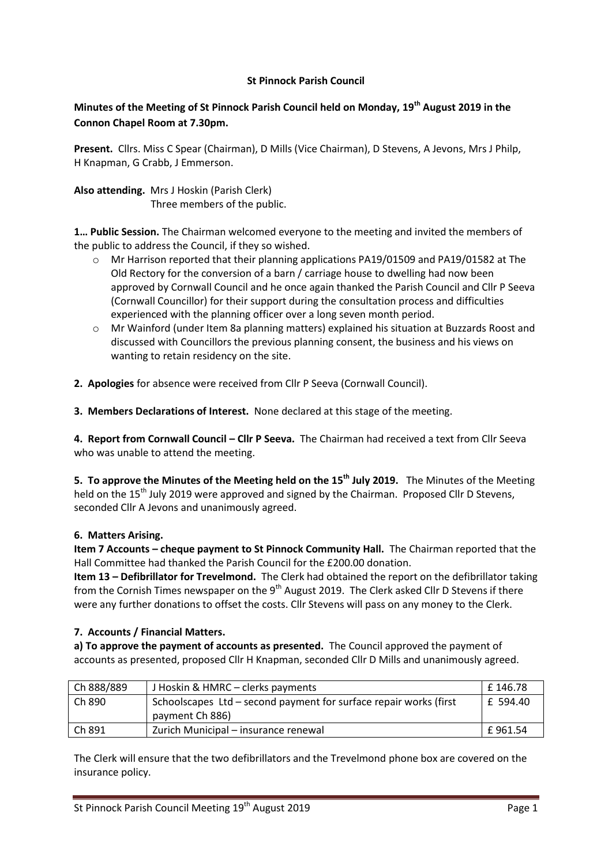# **St Pinnock Parish Council**

# **Minutes of the Meeting of St Pinnock Parish Council held on Monday, 19th August 2019 in the Connon Chapel Room at 7.30pm.**

**Present.** Cllrs. Miss C Spear (Chairman), D Mills (Vice Chairman), D Stevens, A Jevons, Mrs J Philp, H Knapman, G Crabb, J Emmerson.

**Also attending.** Mrs J Hoskin (Parish Clerk) Three members of the public.

**1… Public Session.** The Chairman welcomed everyone to the meeting and invited the members of the public to address the Council, if they so wished.

- o Mr Harrison reported that their planning applications PA19/01509 and PA19/01582 at The Old Rectory for the conversion of a barn / carriage house to dwelling had now been approved by Cornwall Council and he once again thanked the Parish Council and Cllr P Seeva (Cornwall Councillor) for their support during the consultation process and difficulties experienced with the planning officer over a long seven month period.
- o Mr Wainford (under Item 8a planning matters) explained his situation at Buzzards Roost and discussed with Councillors the previous planning consent, the business and his views on wanting to retain residency on the site.

**2. Apologies** for absence were received from Cllr P Seeva (Cornwall Council).

**3. Members Declarations of Interest.** None declared at this stage of the meeting.

**4. Report from Cornwall Council – Cllr P Seeva.** The Chairman had received a text from Cllr Seeva who was unable to attend the meeting.

**5. To approve the Minutes of the Meeting held on the 15th July 2019.** The Minutes of the Meeting held on the 15<sup>th</sup> July 2019 were approved and signed by the Chairman. Proposed Cllr D Stevens, seconded Cllr A Jevons and unanimously agreed.

# **6. Matters Arising.**

**Item 7 Accounts – cheque payment to St Pinnock Community Hall.** The Chairman reported that the Hall Committee had thanked the Parish Council for the £200.00 donation.

**Item 13 – Defibrillator for Trevelmond.** The Clerk had obtained the report on the defibrillator taking from the Cornish Times newspaper on the 9<sup>th</sup> August 2019. The Clerk asked Cllr D Stevens if there were any further donations to offset the costs. Cllr Stevens will pass on any money to the Clerk.

# **7. Accounts / Financial Matters.**

**a) To approve the payment of accounts as presented.** The Council approved the payment of accounts as presented, proposed Cllr H Knapman, seconded Cllr D Mills and unanimously agreed.

| Ch 888/889 | J Hoskin & HMRC - clerks payments                                 | £146.78  |
|------------|-------------------------------------------------------------------|----------|
| Ch 890     | Schoolscapes Ltd - second payment for surface repair works (first | £ 594.40 |
|            | payment Ch 886)                                                   |          |
| Ch 891     | Zurich Municipal – insurance renewal                              | £961.54  |

The Clerk will ensure that the two defibrillators and the Trevelmond phone box are covered on the insurance policy.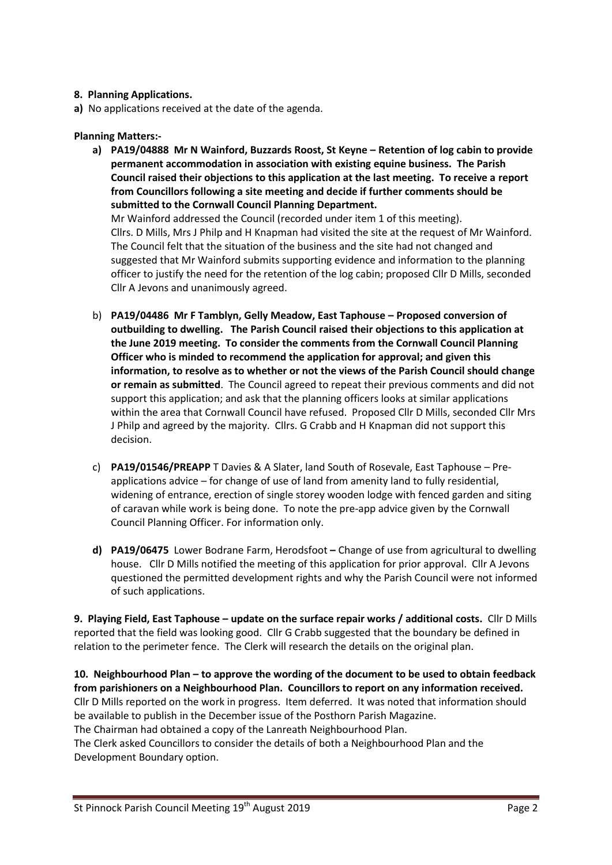# **8. Planning Applications.**

**a)** No applications received at the date of the agenda.

Cllr A Jevons and unanimously agreed.

## **Planning Matters:-**

- **a) PA19/04888 Mr N Wainford, Buzzards Roost, St Keyne – Retention of log cabin to provide permanent accommodation in association with existing equine business. The Parish Council raised their objections to this application at the last meeting. To receive a report from Councillors following a site meeting and decide if further comments should be submitted to the Cornwall Council Planning Department.**  Mr Wainford addressed the Council (recorded under item 1 of this meeting). Cllrs. D Mills, Mrs J Philp and H Knapman had visited the site at the request of Mr Wainford. The Council felt that the situation of the business and the site had not changed and suggested that Mr Wainford submits supporting evidence and information to the planning officer to justify the need for the retention of the log cabin; proposed Cllr D Mills, seconded
- b) **PA19/04486 Mr F Tamblyn, Gelly Meadow, East Taphouse – Proposed conversion of outbuilding to dwelling. The Parish Council raised their objections to this application at the June 2019 meeting. To consider the comments from the Cornwall Council Planning Officer who is minded to recommend the application for approval; and given this information, to resolve as to whether or not the views of the Parish Council should change or remain as submitted**. The Council agreed to repeat their previous comments and did not support this application; and ask that the planning officers looks at similar applications within the area that Cornwall Council have refused. Proposed Cllr D Mills, seconded Cllr Mrs J Philp and agreed by the majority. Cllrs. G Crabb and H Knapman did not support this decision.
- c) **PA19/01546/PREAPP** T Davies & A Slater, land South of Rosevale, East Taphouse Preapplications advice – for change of use of land from amenity land to fully residential, widening of entrance, erection of single storey wooden lodge with fenced garden and siting of caravan while work is being done. To note the pre-app advice given by the Cornwall Council Planning Officer. For information only.
- **d) PA19/06475** Lower Bodrane Farm, Herodsfoot **–** Change of use from agricultural to dwelling house. Cllr D Mills notified the meeting of this application for prior approval. Cllr A Jevons questioned the permitted development rights and why the Parish Council were not informed of such applications.

**9. Playing Field, East Taphouse – update on the surface repair works / additional costs.** Cllr D Mills reported that the field was looking good. Cllr G Crabb suggested that the boundary be defined in relation to the perimeter fence. The Clerk will research the details on the original plan.

**10. Neighbourhood Plan – to approve the wording of the document to be used to obtain feedback from parishioners on a Neighbourhood Plan. Councillors to report on any information received.** Cllr D Mills reported on the work in progress. Item deferred. It was noted that information should be available to publish in the December issue of the Posthorn Parish Magazine. The Chairman had obtained a copy of the Lanreath Neighbourhood Plan.

The Clerk asked Councillors to consider the details of both a Neighbourhood Plan and the Development Boundary option.